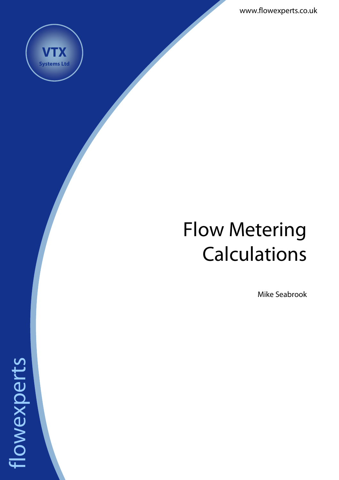www.flowexperts.co.uk



flowexperts

flowexperts

# Flow Metering Calculations

Mike Seabrook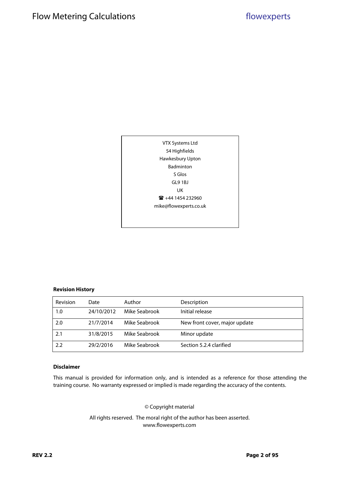

#### **Revision History**

| Revision | Date       | Author        | Description                   |
|----------|------------|---------------|-------------------------------|
| 1.0      | 24/10/2012 | Mike Seabrook | Initial release               |
| 2.0      | 21/7/2014  | Mike Seabrook | New front cover, major update |
| 2.1      | 31/8/2015  | Mike Seabrook | Minor update                  |
| 2.2      | 29/2/2016  | Mike Seabrook | Section 5.2.4 clarified       |

#### **Disclaimer**

This manual is provided for information only, and is intended as a reference for those attending the training course. No warranty expressed or implied is made regarding the accuracy of the contents.

© Copyright material

All rights reserved. The moral right of the author has been asserted. www.flowexperts.com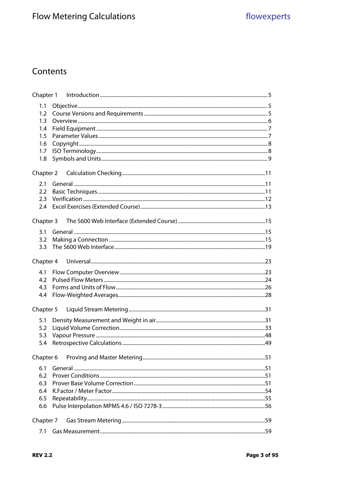# Contents

| 1.1              |  |  |  |
|------------------|--|--|--|
| 1.2 <sub>1</sub> |  |  |  |
| 1.3              |  |  |  |
| 1.4              |  |  |  |
| 1.5              |  |  |  |
| 1.6              |  |  |  |
| 1.7<br>1.8       |  |  |  |
|                  |  |  |  |
| Chapter 2        |  |  |  |
| 2.1              |  |  |  |
| 2.2              |  |  |  |
| 2.3              |  |  |  |
| 2.4              |  |  |  |
| Chapter 3        |  |  |  |
| 3.1              |  |  |  |
| 3.2              |  |  |  |
| 3.3              |  |  |  |
|                  |  |  |  |
| Chapter 4        |  |  |  |
| 4.1              |  |  |  |
| 4.2              |  |  |  |
| 4.3              |  |  |  |
| 4.4              |  |  |  |
| Chapter 5        |  |  |  |
| 5.1              |  |  |  |
| 5.2              |  |  |  |
| 5.3              |  |  |  |
| 5.4              |  |  |  |
| Chapter 6        |  |  |  |
|                  |  |  |  |
| 6.1              |  |  |  |
| 6.2              |  |  |  |
| 6.3              |  |  |  |
| 6.4<br>6.5       |  |  |  |
| 6.6              |  |  |  |
|                  |  |  |  |
| Chapter 7        |  |  |  |
| 7.1              |  |  |  |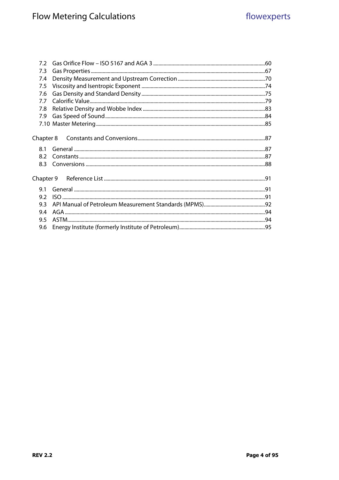| 7.3       |  |
|-----------|--|
| 7.4       |  |
| 7.5       |  |
| 7.6       |  |
| 7.7       |  |
| 7.8       |  |
| 7.9       |  |
|           |  |
|           |  |
| Chapter 8 |  |
| 8.1       |  |
| 8.2       |  |
| 8.3       |  |
|           |  |
|           |  |
| 9.1       |  |
| 9.2       |  |
| 9.3       |  |
| 9.4       |  |
| 9.5       |  |
| 9.6       |  |
|           |  |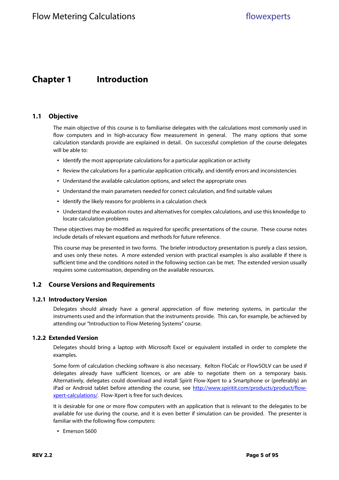## **Chapter 1 Introduction**

#### **1.1 Objective**

The main objective of this course is to familiarise delegates with the calculations most commonly used in flow computers and in high-accuracy flow measurement in general. The many options that some calculation standards provide are explained in detail. On successful completion of the course delegates will be able to:

- Identify the most appropriate calculations for a particular application or activity
- Review the calculations for a particular application critically, and identify errors and inconsistencies
- Understand the available calculation options, and select the appropriate ones
- Understand the main parameters needed for correct calculation, and find suitable values
- Identify the likely reasons for problems in a calculation check
- Understand the evaluation routes and alternatives for complex calculations, and use this knowledge to locate calculation problems

These objectives may be modified as required for specific presentations of the course. These course notes include details of relevant equations and methods for future reference.

This course may be presented in two forms. The briefer introductory presentation is purely a class session, and uses only these notes. A more extended version with practical examples is also available if there is sufficient time and the conditions noted in the following section can be met. The extended version usually requires some customisation, depending on the available resources.

#### **1.2 Course Versions and Requirements**

#### **1.2.1 Introductory Version**

Delegates should already have a general appreciation of flow metering systems, in particular the instruments used and the information that the instruments provide. This can, for example, be achieved by attending our "Introduction to Flow Metering Systems" course.

#### **1.2.2 Extended Version**

Delegates should bring a laptop with Microsoft Excel or equivalent installed in order to complete the examples.

Some form of calculation checking software is also necessary. Kelton FloCalc or FlowSOLV can be used if delegates already have sufficient licences, or are able to negotiate them on a temporary basis. Alternatively, delegates could download and install Spirit Flow-Xpert to a Smartphone or (preferably) an iPad or Android tablet before attending the course, see http://www.spiritit.com/products/product/flowxpert-calculations/. Flow-Xpert is free for such devices.

It is desirable for one or more flow computers with an application that is relevant to the delegates to be available for use during the course, and it is even better if simulation can be provided. The presenter is familiar with the following flow computers:

• Emerson S600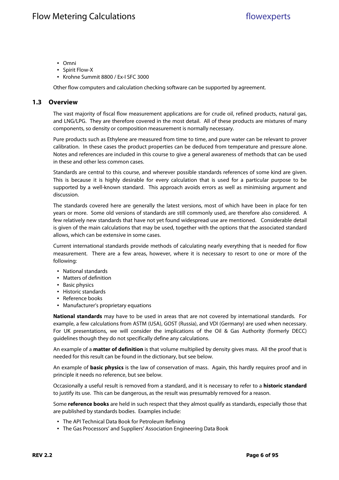- Omni
- Spirit Flow-X
- Krohne Summit 8800 / Ex-I SFC 3000

Other flow computers and calculation checking software can be supported by agreement.

#### **1.3 Overview**

The vast majority of fiscal flow measurement applications are for crude oil, refined products, natural gas, and LNG/LPG. They are therefore covered in the most detail. All of these products are mixtures of many components, so density or composition measurement is normally necessary.

Pure products such as Ethylene are measured from time to time, and pure water can be relevant to prover calibration. In these cases the product properties can be deduced from temperature and pressure alone. Notes and references are included in this course to give a general awareness of methods that can be used in these and other less common cases.

Standards are central to this course, and wherever possible standards references of some kind are given. This is because it is highly desirable for every calculation that is used for a particular purpose to be supported by a well-known standard. This approach avoids errors as well as minimising argument and discussion.

The standards covered here are generally the latest versions, most of which have been in place for ten years or more. Some old versions of standards are still commonly used, are therefore also considered. A few relatively new standards that have not yet found widespread use are mentioned. Considerable detail is given of the main calculations that may be used, together with the options that the associated standard allows, which can be extensive in some cases.

Current international standards provide methods of calculating nearly everything that is needed for flow measurement. There are a few areas, however, where it is necessary to resort to one or more of the following:

- National standards
- Matters of definition
- Basic physics
- Historic standards
- Reference books
- Manufacturer's proprietary equations

**National standards** may have to be used in areas that are not covered by international standards. For example, a few calculations from ASTM (USA), GOST (Russia), and VDI (Germany) are used when necessary. For UK presentations, we will consider the implications of the Oil & Gas Authority (formerly DECC) guidelines though they do not specifically define any calculations.

An example of a **matter of definition** is that volume multiplied by density gives mass. All the proof that is needed for this result can be found in the dictionary, but see below.

An example of **basic physics** is the law of conservation of mass. Again, this hardly requires proof and in principle it needs no reference, but see below.

Occasionally a useful result is removed from a standard, and it is necessary to refer to a **historic standard** to justify its use. This can be dangerous, as the result was presumably removed for a reason.

Some **reference books** are held in such respect that they almost qualify as standards, especially those that are published by standards bodies. Examples include:

- The API Technical Data Book for Petroleum Refining
- The Gas Processors' and Suppliers' Association Engineering Data Book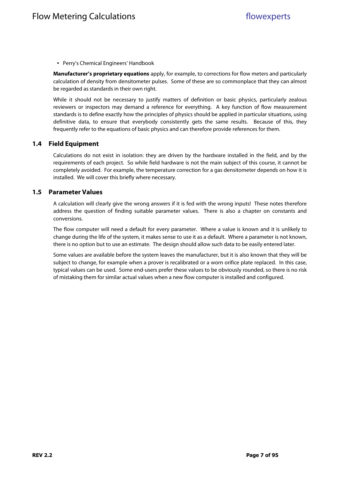• Perry's Chemical Engineers' Handbook

**Manufacturer's proprietary equations** apply, for example, to corrections for flow meters and particularly calculation of density from densitometer pulses. Some of these are so commonplace that they can almost be regarded as standards in their own right.

While it should not be necessary to justify matters of definition or basic physics, particularly zealous reviewers or inspectors may demand a reference for everything. A key function of flow measurement standards is to define exactly how the principles of physics should be applied in particular situations, using definitive data, to ensure that everybody consistently gets the same results. Because of this, they frequently refer to the equations of basic physics and can therefore provide references for them.

#### **1.4 Field Equipment**

Calculations do not exist in isolation: they are driven by the hardware installed in the field, and by the requirements of each project. So while field hardware is not the main subject of this course, it cannot be completely avoided. For example, the temperature correction for a gas densitometer depends on how it is installed. We will cover this briefly where necessary.

#### **1.5 Parameter Values**

A calculation will clearly give the wrong answers if it is fed with the wrong inputs! These notes therefore address the question of finding suitable parameter values. There is also a chapter on constants and conversions.

The flow computer will need a default for every parameter. Where a value is known and it is unlikely to change during the life of the system, it makes sense to use it as a default. Where a parameter is not known, there is no option but to use an estimate. The design should allow such data to be easily entered later.

Some values are available before the system leaves the manufacturer, but it is also known that they will be subject to change, for example when a prover is recalibrated or a worn orifice plate replaced. In this case, typical values can be used. Some end-users prefer these values to be obviously rounded, so there is no risk of mistaking them for similar actual values when a new flow computer is installed and configured.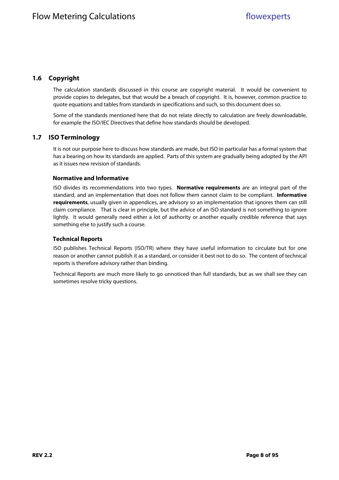## **1.6 Copyright**

The calculation standards discussed in this course are copyright material. It would be convenient to provide copies to delegates, but that would be a breach of copyright. It is, however, common practice to quote equations and tables from standards in specifications and such, so this document does so.

Some of the standards mentioned here that do not relate directly to calculation are freely downloadable, for example the ISO/IEC Directives that define how standards should be developed.

### **1.7 ISO Terminology**

It is not our purpose here to discuss how standards are made, but ISO in particular has a formal system that has a bearing on how its standards are applied. Parts of this system are gradually being adopted by the API as it issues new revision of standards.

#### **Normative and Informative**

ISO divides its recommendations into two types. **Normative requirements** are an integral part of the standard, and an implementation that does not follow them cannot claim to be compliant. **Informative requirements**, usually given in appendices, are advisory so an implementation that ignores them can still claim compliance. That is clear in principle, but the advice of an ISO standard is not something to ignore lightly. It would generally need either a lot of authority or another equally credible reference that says something else to justify such a course.

#### **Technical Reports**

ISO publishes Technical Reports (ISO/TR) where they have useful information to circulate but for one reason or another cannot publish it as a standard, or consider it best not to do so. The content of technical reports is therefore advisory rather than binding.

Technical Reports are much more likely to go unnoticed than full standards, but as we shall see they can sometimes resolve tricky questions.